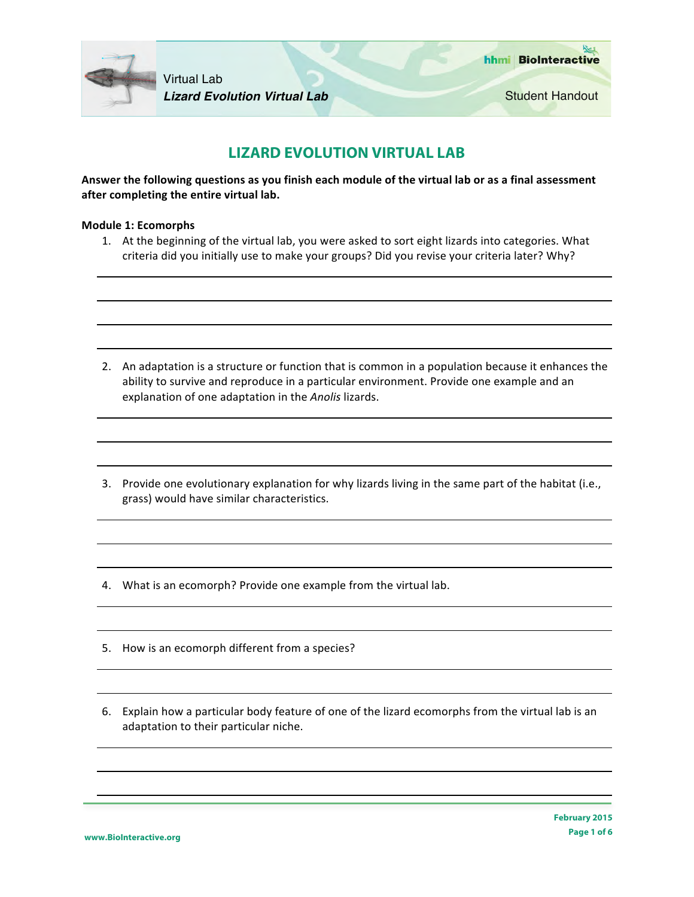

Student Handout

# **LIZARD EVOLUTION VIRTUAL LAB**

Answer the following questions as you finish each module of the virtual lab or as a final assessment after completing the entire virtual lab.

### **Module 1: Ecomorphs**

1. At the beginning of the virtual lab, you were asked to sort eight lizards into categories. What criteria did you initially use to make your groups? Did you revise your criteria later? Why?

- 2. An adaptation is a structure or function that is common in a population because it enhances the ability to survive and reproduce in a particular environment. Provide one example and an explanation of one adaptation in the *Anolis* lizards.
- 3. Provide one evolutionary explanation for why lizards living in the same part of the habitat (i.e., grass) would have similar characteristics.
- 4. What is an ecomorph? Provide one example from the virtual lab.
- 5. How is an ecomorph different from a species?
- 6. Explain how a particular body feature of one of the lizard ecomorphs from the virtual lab is an adaptation to their particular niche.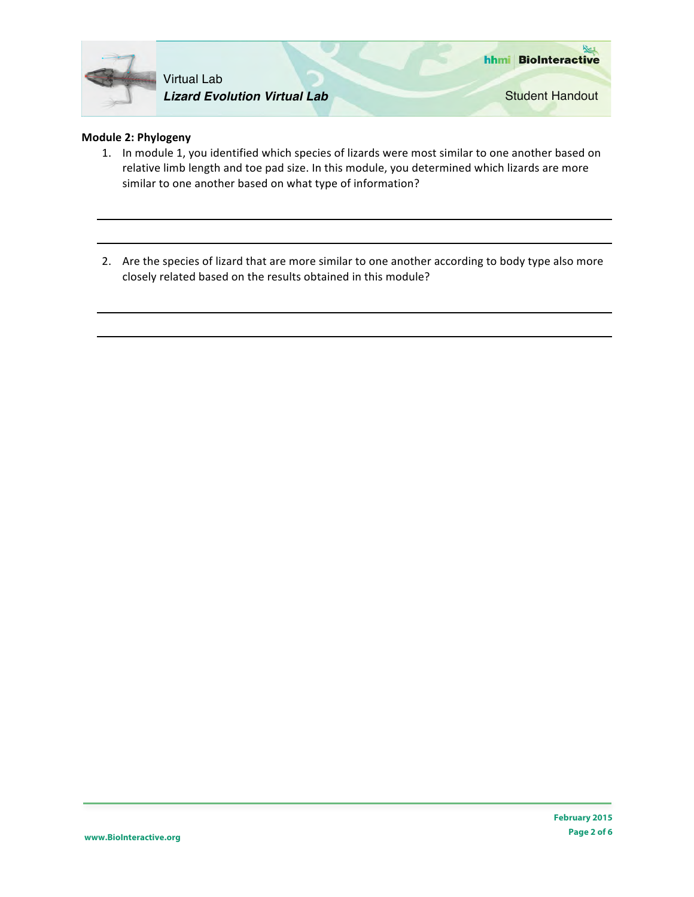

## **Module 2: Phylogeny**

- 1. In module 1, you identified which species of lizards were most similar to one another based on relative limb length and toe pad size. In this module, you determined which lizards are more similar to one another based on what type of information?
- 2. Are the species of lizard that are more similar to one another according to body type also more closely related based on the results obtained in this module?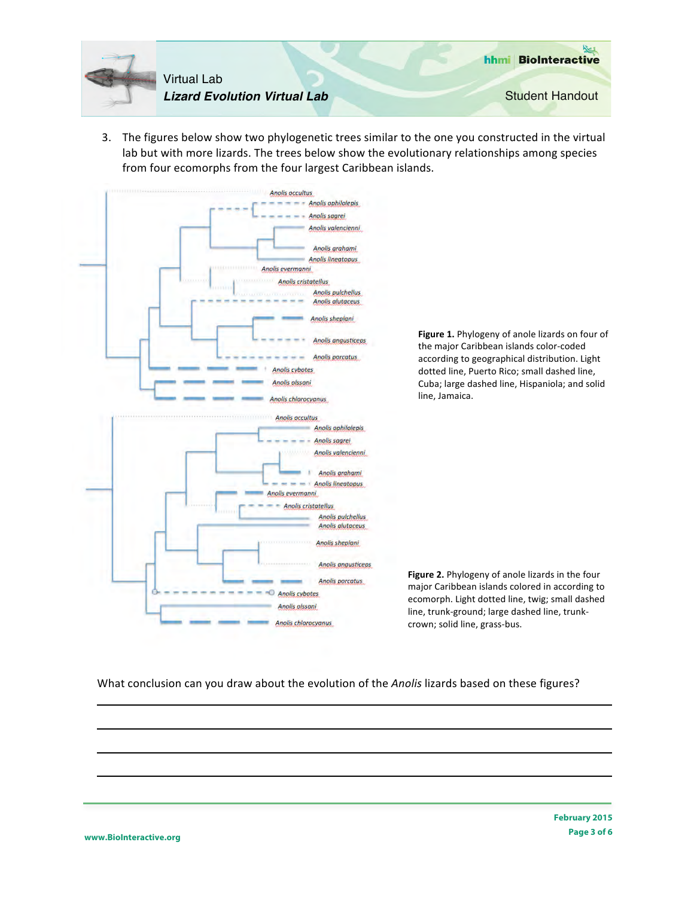

3. The figures below show two phylogenetic trees similar to the one you constructed in the virtual lab but with more lizards. The trees below show the evolutionary relationships among species from four ecomorphs from the four largest Caribbean islands.



What conclusion can you draw about the evolution of the *Anolis* lizards based on these figures?

**www.BioInteractive.org**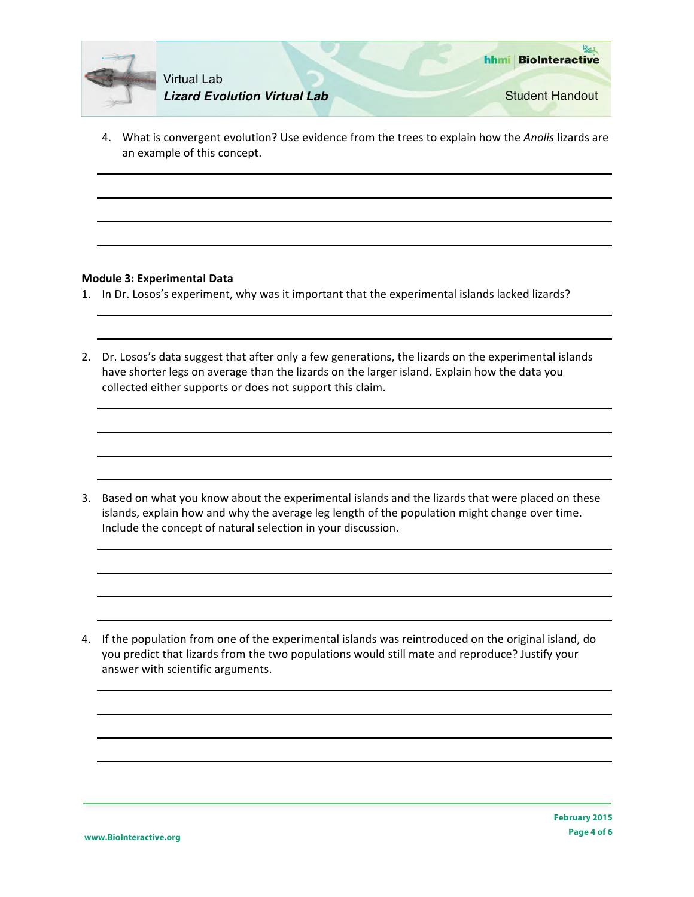

4. What is convergent evolution? Use evidence from the trees to explain how the Anolis lizards are an example of this concept.

#### **Module 3: Experimental Data**

- 1. In Dr. Losos's experiment, why was it important that the experimental islands lacked lizards?
- 2. Dr. Losos's data suggest that after only a few generations, the lizards on the experimental islands have shorter legs on average than the lizards on the larger island. Explain how the data you collected either supports or does not support this claim.

3. Based on what you know about the experimental islands and the lizards that were placed on these islands, explain how and why the average leg length of the population might change over time. Include the concept of natural selection in your discussion.

4. If the population from one of the experimental islands was reintroduced on the original island, do you predict that lizards from the two populations would still mate and reproduce? Justify your answer with scientific arguments.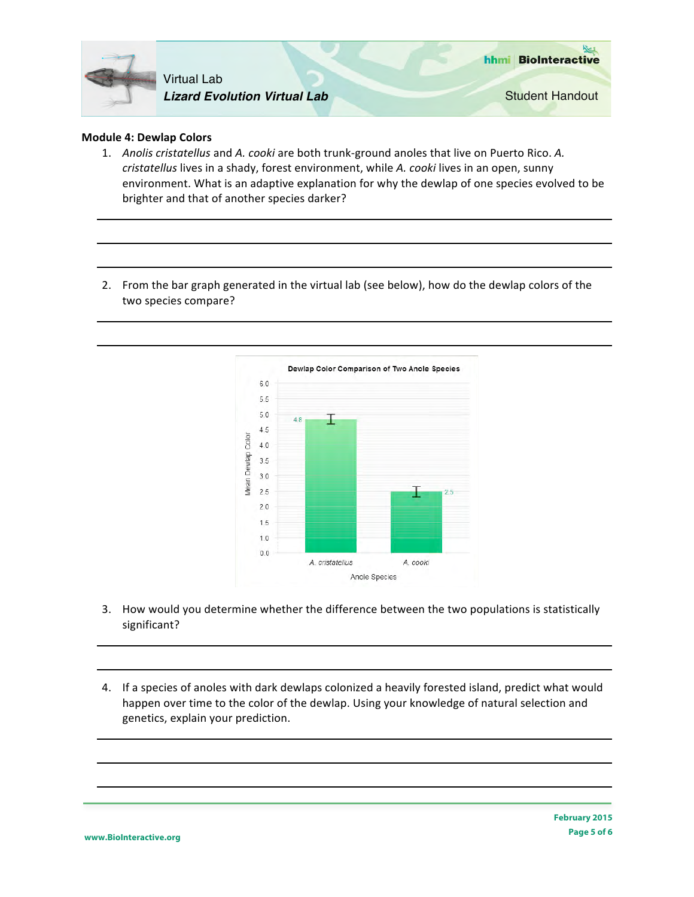

#### **Module 4: Dewlap Colors**

- 1. Anolis cristatellus and A. cooki are both trunk-ground anoles that live on Puerto Rico. A. *cristatellus* lives in a shady, forest environment, while *A. cooki* lives in an open, sunny environment. What is an adaptive explanation for why the dewlap of one species evolved to be brighter and that of another species darker?
- 2. From the bar graph generated in the virtual lab (see below), how do the dewlap colors of the two species compare?



- 3. How would you determine whether the difference between the two populations is statistically significant?
- 4. If a species of anoles with dark dewlaps colonized a heavily forested island, predict what would happen over time to the color of the dewlap. Using your knowledge of natural selection and genetics, explain your prediction.